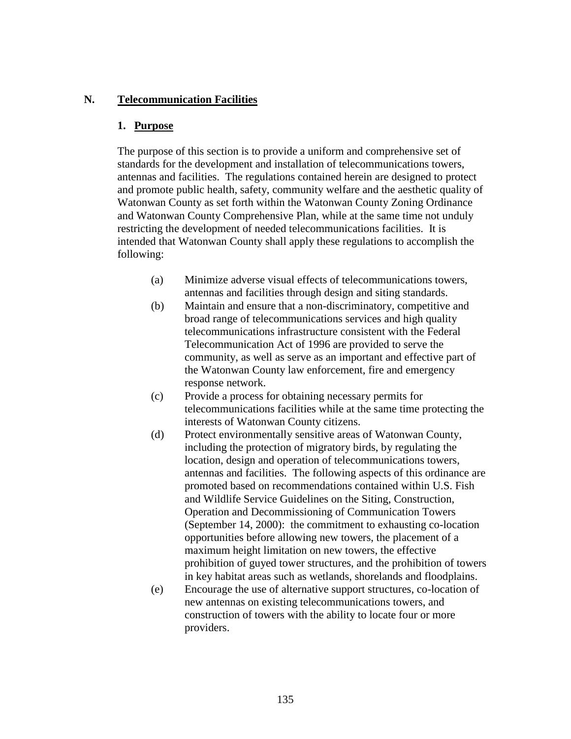# **N. Telecommunication Facilities**

### **1. Purpose**

The purpose of this section is to provide a uniform and comprehensive set of standards for the development and installation of telecommunications towers, antennas and facilities. The regulations contained herein are designed to protect and promote public health, safety, community welfare and the aesthetic quality of Watonwan County as set forth within the Watonwan County Zoning Ordinance and Watonwan County Comprehensive Plan, while at the same time not unduly restricting the development of needed telecommunications facilities. It is intended that Watonwan County shall apply these regulations to accomplish the following:

- (a) Minimize adverse visual effects of telecommunications towers, antennas and facilities through design and siting standards.
- (b) Maintain and ensure that a non-discriminatory, competitive and broad range of telecommunications services and high quality telecommunications infrastructure consistent with the Federal Telecommunication Act of 1996 are provided to serve the community, as well as serve as an important and effective part of the Watonwan County law enforcement, fire and emergency response network.
- (c) Provide a process for obtaining necessary permits for telecommunications facilities while at the same time protecting the interests of Watonwan County citizens.
- (d) Protect environmentally sensitive areas of Watonwan County, including the protection of migratory birds, by regulating the location, design and operation of telecommunications towers, antennas and facilities. The following aspects of this ordinance are promoted based on recommendations contained within U.S. Fish and Wildlife Service Guidelines on the Siting, Construction, Operation and Decommissioning of Communication Towers (September 14, 2000): the commitment to exhausting co-location opportunities before allowing new towers, the placement of a maximum height limitation on new towers, the effective prohibition of guyed tower structures, and the prohibition of towers in key habitat areas such as wetlands, shorelands and floodplains.
- (e) Encourage the use of alternative support structures, co-location of new antennas on existing telecommunications towers, and construction of towers with the ability to locate four or more providers.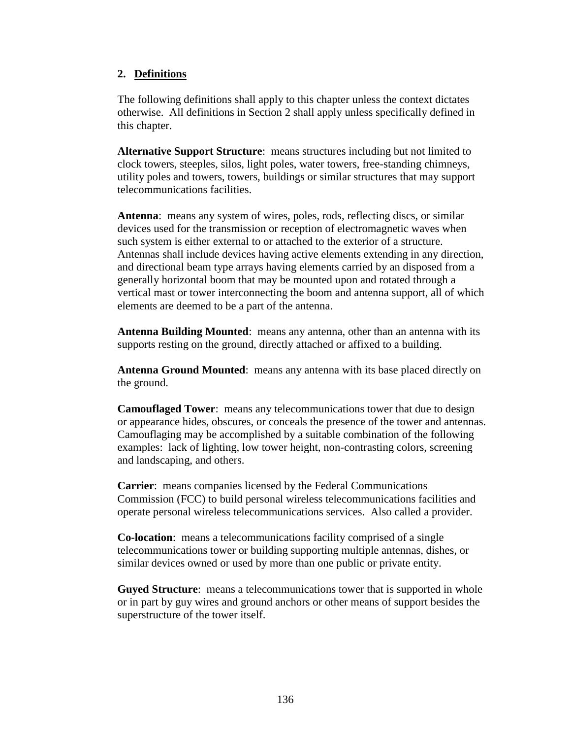# **2. Definitions**

The following definitions shall apply to this chapter unless the context dictates otherwise. All definitions in Section 2 shall apply unless specifically defined in this chapter.

**Alternative Support Structure**: means structures including but not limited to clock towers, steeples, silos, light poles, water towers, free-standing chimneys, utility poles and towers, towers, buildings or similar structures that may support telecommunications facilities.

**Antenna**: means any system of wires, poles, rods, reflecting discs, or similar devices used for the transmission or reception of electromagnetic waves when such system is either external to or attached to the exterior of a structure. Antennas shall include devices having active elements extending in any direction, and directional beam type arrays having elements carried by an disposed from a generally horizontal boom that may be mounted upon and rotated through a vertical mast or tower interconnecting the boom and antenna support, all of which elements are deemed to be a part of the antenna.

**Antenna Building Mounted**: means any antenna, other than an antenna with its supports resting on the ground, directly attached or affixed to a building.

**Antenna Ground Mounted**: means any antenna with its base placed directly on the ground.

**Camouflaged Tower**: means any telecommunications tower that due to design or appearance hides, obscures, or conceals the presence of the tower and antennas. Camouflaging may be accomplished by a suitable combination of the following examples: lack of lighting, low tower height, non-contrasting colors, screening and landscaping, and others.

**Carrier**: means companies licensed by the Federal Communications Commission (FCC) to build personal wireless telecommunications facilities and operate personal wireless telecommunications services. Also called a provider.

**Co-location**: means a telecommunications facility comprised of a single telecommunications tower or building supporting multiple antennas, dishes, or similar devices owned or used by more than one public or private entity.

**Guyed Structure**: means a telecommunications tower that is supported in whole or in part by guy wires and ground anchors or other means of support besides the superstructure of the tower itself.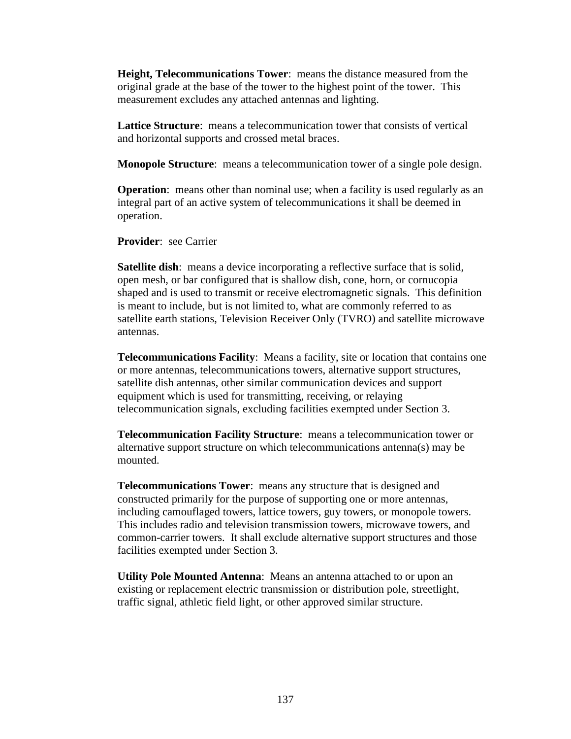**Height, Telecommunications Tower**: means the distance measured from the original grade at the base of the tower to the highest point of the tower. This measurement excludes any attached antennas and lighting.

**Lattice Structure**: means a telecommunication tower that consists of vertical and horizontal supports and crossed metal braces.

**Monopole Structure**: means a telecommunication tower of a single pole design.

**Operation**: means other than nominal use; when a facility is used regularly as an integral part of an active system of telecommunications it shall be deemed in operation.

**Provider**: see Carrier

**Satellite dish:** means a device incorporating a reflective surface that is solid, open mesh, or bar configured that is shallow dish, cone, horn, or cornucopia shaped and is used to transmit or receive electromagnetic signals. This definition is meant to include, but is not limited to, what are commonly referred to as satellite earth stations, Television Receiver Only (TVRO) and satellite microwave antennas.

**Telecommunications Facility**: Means a facility, site or location that contains one or more antennas, telecommunications towers, alternative support structures, satellite dish antennas, other similar communication devices and support equipment which is used for transmitting, receiving, or relaying telecommunication signals, excluding facilities exempted under Section 3.

**Telecommunication Facility Structure**: means a telecommunication tower or alternative support structure on which telecommunications antenna(s) may be mounted.

**Telecommunications Tower**: means any structure that is designed and constructed primarily for the purpose of supporting one or more antennas, including camouflaged towers, lattice towers, guy towers, or monopole towers. This includes radio and television transmission towers, microwave towers, and common-carrier towers. It shall exclude alternative support structures and those facilities exempted under Section 3.

**Utility Pole Mounted Antenna**: Means an antenna attached to or upon an existing or replacement electric transmission or distribution pole, streetlight, traffic signal, athletic field light, or other approved similar structure.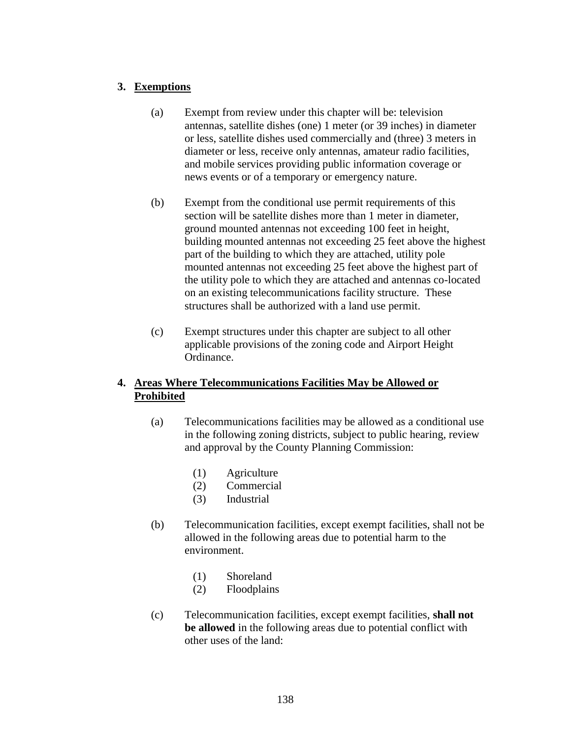# **3. Exemptions**

- (a) Exempt from review under this chapter will be: television antennas, satellite dishes (one) 1 meter (or 39 inches) in diameter or less, satellite dishes used commercially and (three) 3 meters in diameter or less, receive only antennas, amateur radio facilities, and mobile services providing public information coverage or news events or of a temporary or emergency nature.
- (b) Exempt from the conditional use permit requirements of this section will be satellite dishes more than 1 meter in diameter, ground mounted antennas not exceeding 100 feet in height, building mounted antennas not exceeding 25 feet above the highest part of the building to which they are attached, utility pole mounted antennas not exceeding 25 feet above the highest part of the utility pole to which they are attached and antennas co-located on an existing telecommunications facility structure. These structures shall be authorized with a land use permit.
- (c) Exempt structures under this chapter are subject to all other applicable provisions of the zoning code and Airport Height Ordinance.

# **4. Areas Where Telecommunications Facilities May be Allowed or Prohibited**

- (a) Telecommunications facilities may be allowed as a conditional use in the following zoning districts, subject to public hearing, review and approval by the County Planning Commission:
	- (1) Agriculture
	- (2) Commercial
	- (3) Industrial
- (b) Telecommunication facilities, except exempt facilities, shall not be allowed in the following areas due to potential harm to the environment.
	- (1) Shoreland
	- (2) Floodplains
- (c) Telecommunication facilities, except exempt facilities, **shall not be allowed** in the following areas due to potential conflict with other uses of the land: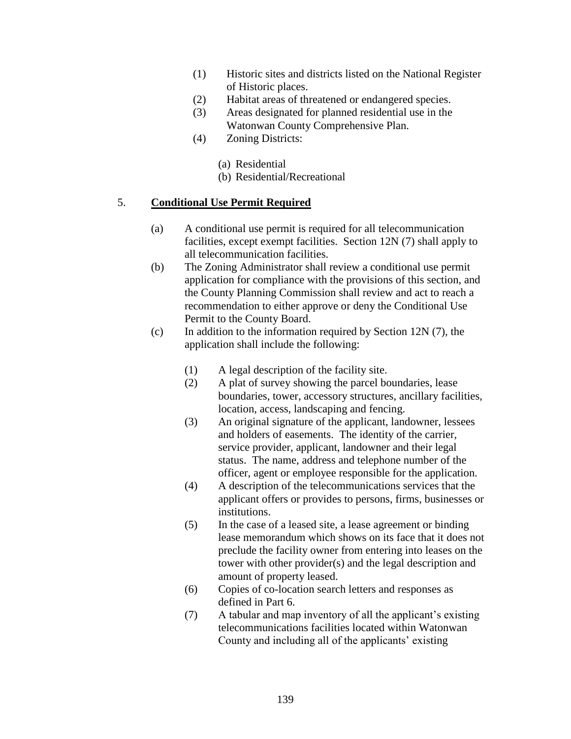- (1) Historic sites and districts listed on the National Register of Historic places.
- (2) Habitat areas of threatened or endangered species.
- (3) Areas designated for planned residential use in the Watonwan County Comprehensive Plan.
- (4) Zoning Districts:
	- (a) Residential
	- (b) Residential/Recreational

### 5. **Conditional Use Permit Required**

- (a) A conditional use permit is required for all telecommunication facilities, except exempt facilities. Section 12N (7) shall apply to all telecommunication facilities.
- (b) The Zoning Administrator shall review a conditional use permit application for compliance with the provisions of this section, and the County Planning Commission shall review and act to reach a recommendation to either approve or deny the Conditional Use Permit to the County Board.
- (c) In addition to the information required by Section 12N  $(7)$ , the application shall include the following:
	- (1) A legal description of the facility site.
	- (2) A plat of survey showing the parcel boundaries, lease boundaries, tower, accessory structures, ancillary facilities, location, access, landscaping and fencing.
	- (3) An original signature of the applicant, landowner, lessees and holders of easements. The identity of the carrier, service provider, applicant, landowner and their legal status. The name, address and telephone number of the officer, agent or employee responsible for the application.
	- (4) A description of the telecommunications services that the applicant offers or provides to persons, firms, businesses or institutions.
	- (5) In the case of a leased site, a lease agreement or binding lease memorandum which shows on its face that it does not preclude the facility owner from entering into leases on the tower with other provider(s) and the legal description and amount of property leased.
	- (6) Copies of co-location search letters and responses as defined in Part 6.
	- (7) A tabular and map inventory of all the applicant's existing telecommunications facilities located within Watonwan County and including all of the applicants' existing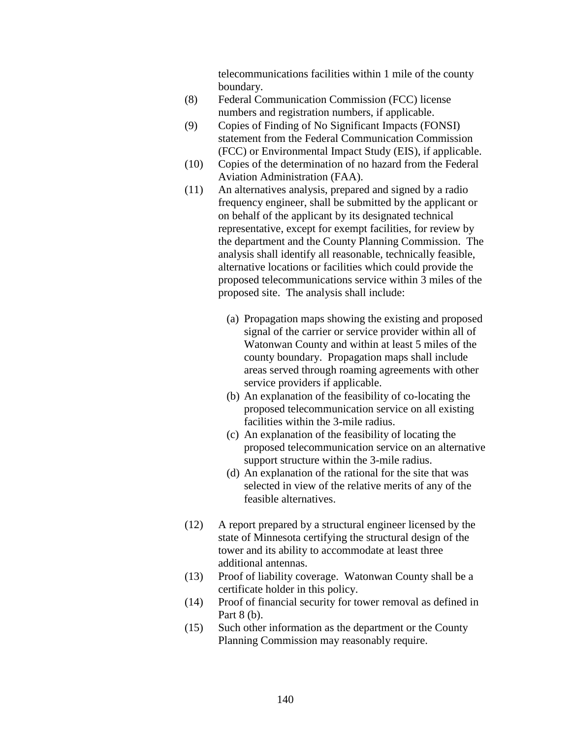telecommunications facilities within 1 mile of the county boundary.

- (8) Federal Communication Commission (FCC) license numbers and registration numbers, if applicable.
- (9) Copies of Finding of No Significant Impacts (FONSI) statement from the Federal Communication Commission (FCC) or Environmental Impact Study (EIS), if applicable.
- (10) Copies of the determination of no hazard from the Federal Aviation Administration (FAA).
- (11) An alternatives analysis, prepared and signed by a radio frequency engineer, shall be submitted by the applicant or on behalf of the applicant by its designated technical representative, except for exempt facilities, for review by the department and the County Planning Commission. The analysis shall identify all reasonable, technically feasible, alternative locations or facilities which could provide the proposed telecommunications service within 3 miles of the proposed site. The analysis shall include:
	- (a) Propagation maps showing the existing and proposed signal of the carrier or service provider within all of Watonwan County and within at least 5 miles of the county boundary. Propagation maps shall include areas served through roaming agreements with other service providers if applicable.
	- (b) An explanation of the feasibility of co-locating the proposed telecommunication service on all existing facilities within the 3-mile radius.
	- (c) An explanation of the feasibility of locating the proposed telecommunication service on an alternative support structure within the 3-mile radius.
	- (d) An explanation of the rational for the site that was selected in view of the relative merits of any of the feasible alternatives.
- (12) A report prepared by a structural engineer licensed by the state of Minnesota certifying the structural design of the tower and its ability to accommodate at least three additional antennas.
- (13) Proof of liability coverage. Watonwan County shall be a certificate holder in this policy.
- (14) Proof of financial security for tower removal as defined in Part 8 (b).
- (15) Such other information as the department or the County Planning Commission may reasonably require.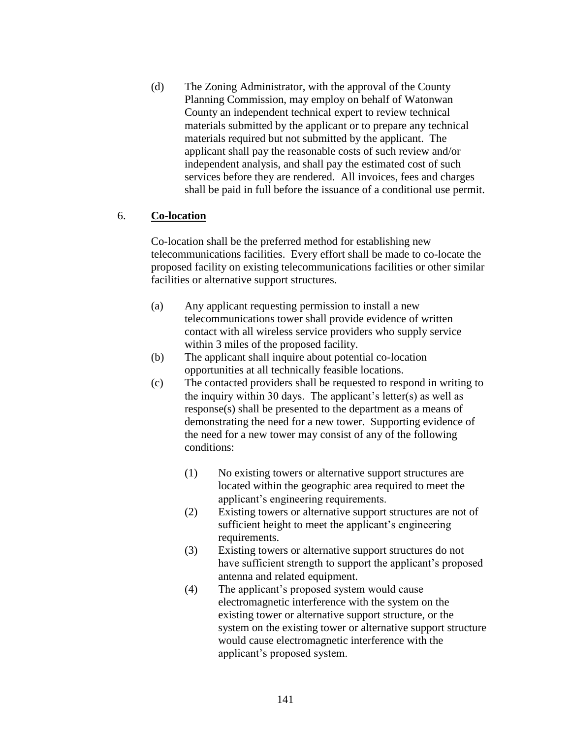(d) The Zoning Administrator, with the approval of the County Planning Commission, may employ on behalf of Watonwan County an independent technical expert to review technical materials submitted by the applicant or to prepare any technical materials required but not submitted by the applicant. The applicant shall pay the reasonable costs of such review and/or independent analysis, and shall pay the estimated cost of such services before they are rendered. All invoices, fees and charges shall be paid in full before the issuance of a conditional use permit.

# 6. **Co-location**

Co-location shall be the preferred method for establishing new telecommunications facilities. Every effort shall be made to co-locate the proposed facility on existing telecommunications facilities or other similar facilities or alternative support structures.

- (a) Any applicant requesting permission to install a new telecommunications tower shall provide evidence of written contact with all wireless service providers who supply service within 3 miles of the proposed facility.
- (b) The applicant shall inquire about potential co-location opportunities at all technically feasible locations.
- (c) The contacted providers shall be requested to respond in writing to the inquiry within 30 days. The applicant's letter(s) as well as response(s) shall be presented to the department as a means of demonstrating the need for a new tower. Supporting evidence of the need for a new tower may consist of any of the following conditions:
	- (1) No existing towers or alternative support structures are located within the geographic area required to meet the applicant's engineering requirements.
	- (2) Existing towers or alternative support structures are not of sufficient height to meet the applicant's engineering requirements.
	- (3) Existing towers or alternative support structures do not have sufficient strength to support the applicant's proposed antenna and related equipment.
	- (4) The applicant's proposed system would cause electromagnetic interference with the system on the existing tower or alternative support structure, or the system on the existing tower or alternative support structure would cause electromagnetic interference with the applicant's proposed system.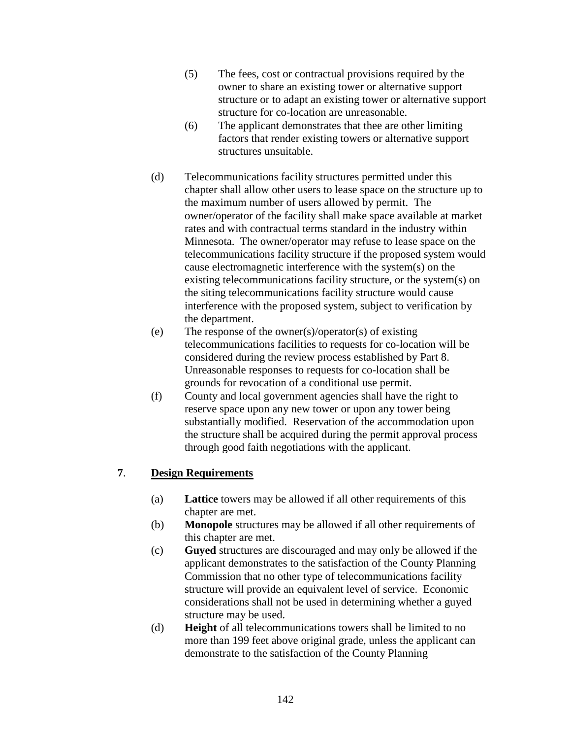- (5) The fees, cost or contractual provisions required by the owner to share an existing tower or alternative support structure or to adapt an existing tower or alternative support structure for co-location are unreasonable.
- (6) The applicant demonstrates that thee are other limiting factors that render existing towers or alternative support structures unsuitable.
- (d) Telecommunications facility structures permitted under this chapter shall allow other users to lease space on the structure up to the maximum number of users allowed by permit. The owner/operator of the facility shall make space available at market rates and with contractual terms standard in the industry within Minnesota. The owner/operator may refuse to lease space on the telecommunications facility structure if the proposed system would cause electromagnetic interference with the system(s) on the existing telecommunications facility structure, or the system(s) on the siting telecommunications facility structure would cause interference with the proposed system, subject to verification by the department.
- (e) The response of the owner(s)/operator(s) of existing telecommunications facilities to requests for co-location will be considered during the review process established by Part 8. Unreasonable responses to requests for co-location shall be grounds for revocation of a conditional use permit.
- (f) County and local government agencies shall have the right to reserve space upon any new tower or upon any tower being substantially modified. Reservation of the accommodation upon the structure shall be acquired during the permit approval process through good faith negotiations with the applicant.

# **7**. **Design Requirements**

- (a) **Lattice** towers may be allowed if all other requirements of this chapter are met.
- (b) **Monopole** structures may be allowed if all other requirements of this chapter are met.
- (c) **Guyed** structures are discouraged and may only be allowed if the applicant demonstrates to the satisfaction of the County Planning Commission that no other type of telecommunications facility structure will provide an equivalent level of service. Economic considerations shall not be used in determining whether a guyed structure may be used.
- (d) **Height** of all telecommunications towers shall be limited to no more than 199 feet above original grade, unless the applicant can demonstrate to the satisfaction of the County Planning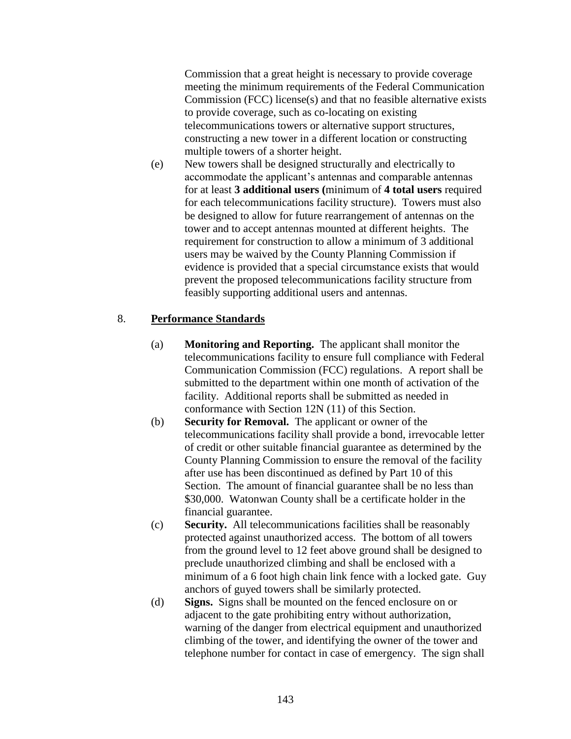Commission that a great height is necessary to provide coverage meeting the minimum requirements of the Federal Communication Commission (FCC) license(s) and that no feasible alternative exists to provide coverage, such as co-locating on existing telecommunications towers or alternative support structures, constructing a new tower in a different location or constructing multiple towers of a shorter height.

(e) New towers shall be designed structurally and electrically to accommodate the applicant's antennas and comparable antennas for at least **3 additional users (**minimum of **4 total users** required for each telecommunications facility structure). Towers must also be designed to allow for future rearrangement of antennas on the tower and to accept antennas mounted at different heights. The requirement for construction to allow a minimum of 3 additional users may be waived by the County Planning Commission if evidence is provided that a special circumstance exists that would prevent the proposed telecommunications facility structure from feasibly supporting additional users and antennas.

# 8. **Performance Standards**

- (a) **Monitoring and Reporting.** The applicant shall monitor the telecommunications facility to ensure full compliance with Federal Communication Commission (FCC) regulations. A report shall be submitted to the department within one month of activation of the facility. Additional reports shall be submitted as needed in conformance with Section 12N (11) of this Section.
- (b) **Security for Removal.** The applicant or owner of the telecommunications facility shall provide a bond, irrevocable letter of credit or other suitable financial guarantee as determined by the County Planning Commission to ensure the removal of the facility after use has been discontinued as defined by Part 10 of this Section. The amount of financial guarantee shall be no less than \$30,000. Watonwan County shall be a certificate holder in the financial guarantee.
- (c) **Security.** All telecommunications facilities shall be reasonably protected against unauthorized access. The bottom of all towers from the ground level to 12 feet above ground shall be designed to preclude unauthorized climbing and shall be enclosed with a minimum of a 6 foot high chain link fence with a locked gate. Guy anchors of guyed towers shall be similarly protected.
- (d) **Signs.** Signs shall be mounted on the fenced enclosure on or adjacent to the gate prohibiting entry without authorization, warning of the danger from electrical equipment and unauthorized climbing of the tower, and identifying the owner of the tower and telephone number for contact in case of emergency. The sign shall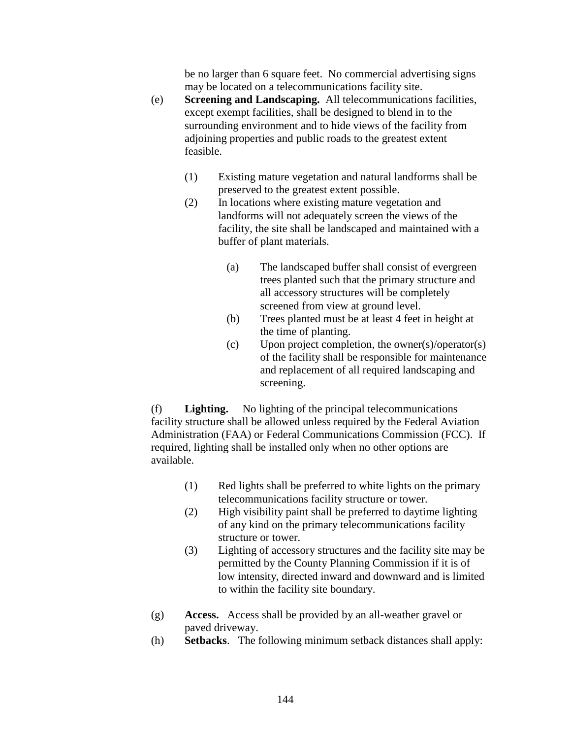be no larger than 6 square feet. No commercial advertising signs may be located on a telecommunications facility site.

- (e) **Screening and Landscaping.** All telecommunications facilities, except exempt facilities, shall be designed to blend in to the surrounding environment and to hide views of the facility from adjoining properties and public roads to the greatest extent feasible.
	- (1) Existing mature vegetation and natural landforms shall be preserved to the greatest extent possible.
	- (2) In locations where existing mature vegetation and landforms will not adequately screen the views of the facility, the site shall be landscaped and maintained with a buffer of plant materials.
		- (a) The landscaped buffer shall consist of evergreen trees planted such that the primary structure and all accessory structures will be completely screened from view at ground level.
		- (b) Trees planted must be at least 4 feet in height at the time of planting.
		- (c) Upon project completion, the owner(s)/operator(s) of the facility shall be responsible for maintenance and replacement of all required landscaping and screening.

(f) **Lighting.** No lighting of the principal telecommunications facility structure shall be allowed unless required by the Federal Aviation Administration (FAA) or Federal Communications Commission (FCC). If required, lighting shall be installed only when no other options are available.

- (1) Red lights shall be preferred to white lights on the primary telecommunications facility structure or tower.
- (2) High visibility paint shall be preferred to daytime lighting of any kind on the primary telecommunications facility structure or tower.
- (3) Lighting of accessory structures and the facility site may be permitted by the County Planning Commission if it is of low intensity, directed inward and downward and is limited to within the facility site boundary.
- (g) **Access.** Access shall be provided by an all-weather gravel or paved driveway.
- (h) **Setbacks**. The following minimum setback distances shall apply: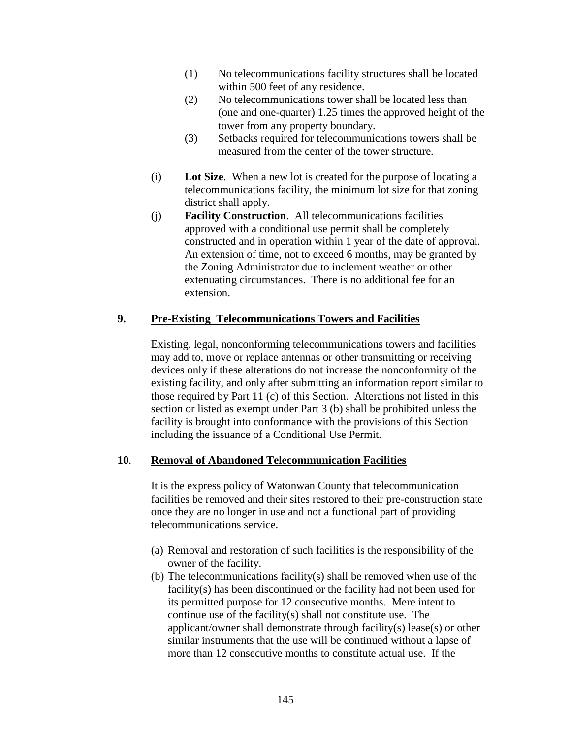- (1) No telecommunications facility structures shall be located within 500 feet of any residence.
- (2) No telecommunications tower shall be located less than (one and one-quarter) 1.25 times the approved height of the tower from any property boundary.
- (3) Setbacks required for telecommunications towers shall be measured from the center of the tower structure.
- (i) **Lot Size**. When a new lot is created for the purpose of locating a telecommunications facility, the minimum lot size for that zoning district shall apply.
- (j) **Facility Construction**. All telecommunications facilities approved with a conditional use permit shall be completely constructed and in operation within 1 year of the date of approval. An extension of time, not to exceed 6 months, may be granted by the Zoning Administrator due to inclement weather or other extenuating circumstances. There is no additional fee for an extension.

# **9. Pre-Existing Telecommunications Towers and Facilities**

Existing, legal, nonconforming telecommunications towers and facilities may add to, move or replace antennas or other transmitting or receiving devices only if these alterations do not increase the nonconformity of the existing facility, and only after submitting an information report similar to those required by Part 11 (c) of this Section. Alterations not listed in this section or listed as exempt under Part 3 (b) shall be prohibited unless the facility is brought into conformance with the provisions of this Section including the issuance of a Conditional Use Permit.

#### **10**. **Removal of Abandoned Telecommunication Facilities**

It is the express policy of Watonwan County that telecommunication facilities be removed and their sites restored to their pre-construction state once they are no longer in use and not a functional part of providing telecommunications service.

- (a) Removal and restoration of such facilities is the responsibility of the owner of the facility.
- (b) The telecommunications facility(s) shall be removed when use of the facility(s) has been discontinued or the facility had not been used for its permitted purpose for 12 consecutive months. Mere intent to continue use of the facility(s) shall not constitute use. The applicant/owner shall demonstrate through facility(s) lease(s) or other similar instruments that the use will be continued without a lapse of more than 12 consecutive months to constitute actual use. If the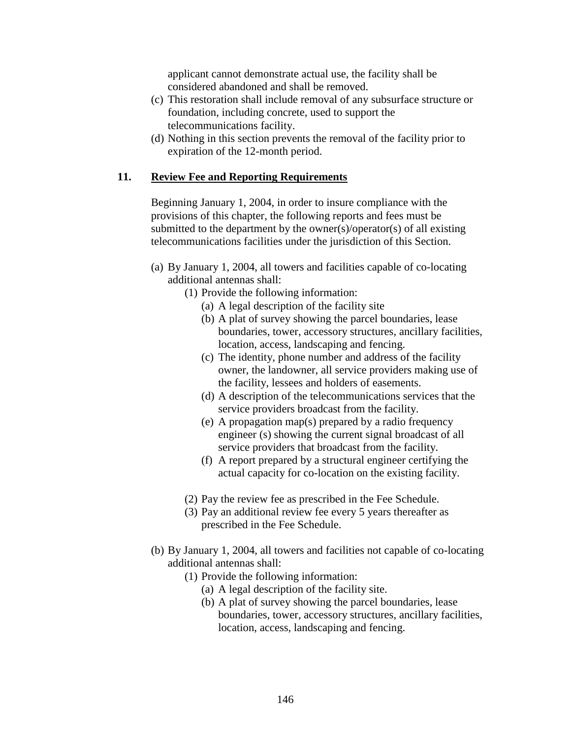applicant cannot demonstrate actual use, the facility shall be considered abandoned and shall be removed.

- (c) This restoration shall include removal of any subsurface structure or foundation, including concrete, used to support the telecommunications facility.
- (d) Nothing in this section prevents the removal of the facility prior to expiration of the 12-month period.

### **11. Review Fee and Reporting Requirements**

Beginning January 1, 2004, in order to insure compliance with the provisions of this chapter, the following reports and fees must be submitted to the department by the owner(s)/operator(s) of all existing telecommunications facilities under the jurisdiction of this Section.

- (a) By January 1, 2004, all towers and facilities capable of co-locating additional antennas shall:
	- (1) Provide the following information:
		- (a) A legal description of the facility site
		- (b) A plat of survey showing the parcel boundaries, lease boundaries, tower, accessory structures, ancillary facilities, location, access, landscaping and fencing.
		- (c) The identity, phone number and address of the facility owner, the landowner, all service providers making use of the facility, lessees and holders of easements.
		- (d) A description of the telecommunications services that the service providers broadcast from the facility.
		- (e) A propagation map(s) prepared by a radio frequency engineer (s) showing the current signal broadcast of all service providers that broadcast from the facility.
		- (f) A report prepared by a structural engineer certifying the actual capacity for co-location on the existing facility.
	- (2) Pay the review fee as prescribed in the Fee Schedule.
	- (3) Pay an additional review fee every 5 years thereafter as prescribed in the Fee Schedule.
- (b) By January 1, 2004, all towers and facilities not capable of co-locating additional antennas shall:
	- (1) Provide the following information:
		- (a) A legal description of the facility site.
		- (b) A plat of survey showing the parcel boundaries, lease boundaries, tower, accessory structures, ancillary facilities, location, access, landscaping and fencing.